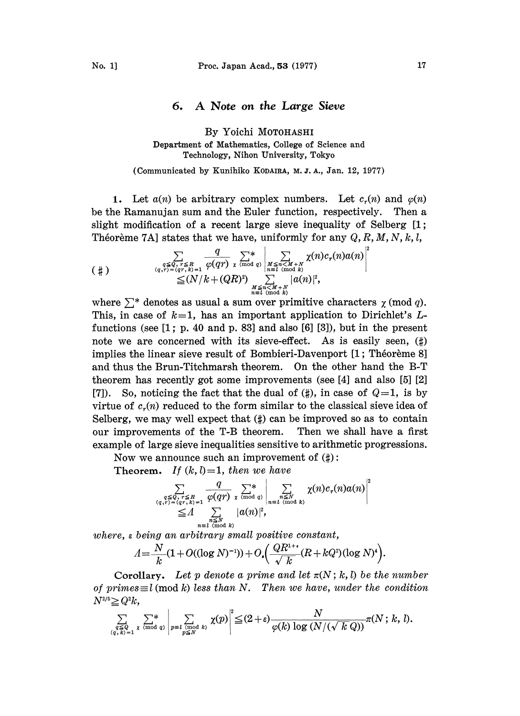## 6. A Note on the Large Sieve

## By Yoichi MOTOHASHI Department of Mathematics, College of Science and Technology, Nihon University, Tokyo

## (Communicated by Kunihiko KODAIRA, M. J. A., Jan. 12, 1977)

1. Let  $a(n)$  be arbitrary complex numbers. Let  $c_r(n)$  and  $\varphi(n)$ be the Ramanujan sum and the Euler function, respectively. Then a slight modification of a recent large sieve inequality of Selberg [1; Theoreme 7A] states that we have, uniformly for any  $Q, R, M, N, k, l$ ,

$$
(\#)\sum_{\substack{q\leq Q,\ r\leq R\\(q,r)=(qr,\ k)=1}}\frac{q}{\varphi(qr)}\sum_{\chi\pmod{q}}\left|\sum_{\substack{M\leq n\leq M+N\\ n\equiv l\pmod{k}\\ \sum\limits_{m\in l\pmod{k}}|\alpha(m)|^2,\\ m\equiv l\pmod{k}}}\chi(n)c_r(n)a(n)\right|^2
$$

where  $\sum^*$  denotes as usual a sum over primitive characters  $\chi \pmod{q}$ .<br>This, in case of  $k=1$ , has an important application to Dirichlet's L-This, in case of  $k=1$ , has an important application to Dirichlet's Lfunctions (see  $[1; p. 40$  and  $p. 83]$  and also  $[6]$   $[3]$ ), but in the present note we are concerned with its sieve-effect. As is easily seen,  $(\sharp)$ implies the linear sieve result of Bombieri-Davenport [1; Théorème 8] and thus the Brun-Titchmarsh theorem. On the other hand the B-T theorem has recently got some improvements (see [4] and also [5] [2] [7]). So, noticing the fact that the dual of  $(\sharp)$ , in case of  $Q=1$ , is by virtue of  $c<sub>z</sub>(n)$  reduced to the form similar to the classical sieve idea of Selberg, we may well expect that  $(\sharp)$  can be improved so as to contain our improvements of the T-B theorem. Then we shall have a first example of large sieve inequalities sensitive to arithmetic progressions.

Now we announce such an improvement of  $(\sharp)$ :

Theorem. If  $(k, l) = 1$ , then we have

$$
\sum_{\substack{q \leq Q, r \leq R \\ (q, r) = (qr, k) = 1 \\ q \equiv l \pmod{k}}}\frac{q}{\varphi(qr)} \sum_{\substack{\chi \pmod{q} \\ \chi \pmod{q} \\ \chi \equiv l \pmod{k}}}\frac{1}{\varphi(n)} \sum_{n \leq N \pmod{k}} \chi(n)c_r(n)a(n)^{\ell}
$$

where, <sup>e</sup> being an arbitrary small positive constant,

$$
A = \frac{N}{k} (1 + O((\log N)^{-1})) + O\left(\frac{QR^{1+\epsilon}}{\sqrt{k}} (R + kQ^2)(\log N)^4\right).
$$

Corollary. Let p denote a prime and let  $\pi(N; k, l)$  be the number of primes $\equiv l \pmod{k}$  less than N. Then we have, under the condition  $N^{2/5} \geq Q^2 k,$ 

$$
\sum_{\substack{q \leq Q \\ (q, k) = 1}} \sum_{z \pmod{q}}^* \sum_{\substack{(\text{mod } k) \\ p \leq N}}^{\infty} \chi(p) \Big|^{2} \leq (2 + \varepsilon) \frac{N}{\varphi(k) \log (N/(\sqrt{k} \, Q))} \pi(N; k, l).
$$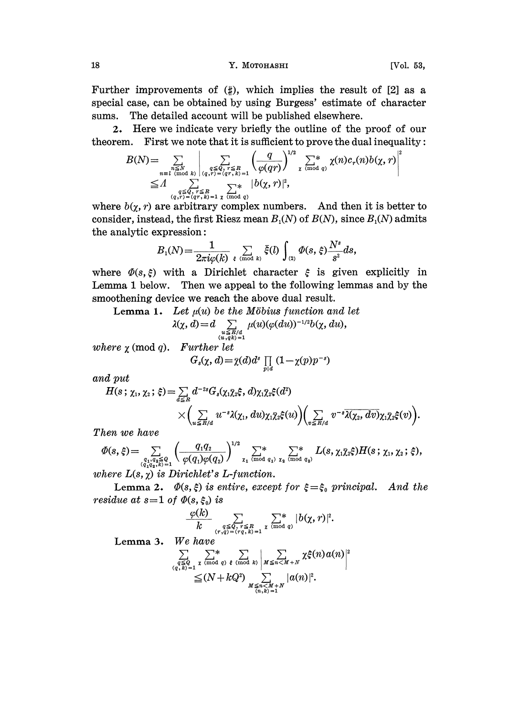18 Y. MOTOHASHI [Vol. 53,

Further improvements of  $(\sharp)$ , which implies the result of [2] as a special case, can be obtained by using Burgess' estimate of character sums. The detailed account will be published elsewhere.

2. Here we indicate very briefly the outline of the proof of our theorem. First we note that it is sufficient to prove the dual inequality:

$$
B(N) = \sum_{\substack{n \leq N \\ n \equiv l \pmod{k} \\ \text{mod } q}} \left| \sum_{\substack{q \leq Q, r \leq R \\ (q, r) = (qr, k) = 1}} \left( \frac{q}{\varphi(qr)} \right)^{1/2} \sum_{\chi \pmod{q}} \chi(n) c_r(n) b(\chi, r) \right|^2
$$
  

$$
\leq A \sum_{\substack{q \leq Q, r \leq R \\ (q, r) = (qr, k) = 1}} \sum_{\chi \pmod{q}} \frac{|b(\chi, r)|^2}{\varphi(qr)^2},
$$

where  $b(\chi, r)$  are arbitrary complex numbers. And then it is better to consider, instead, the first Riesz mean  $B_1(N)$  of  $B(N)$ , since  $B_1(N)$  admits the analytic expression:

$$
B_1(N)\!=\!\frac{1}{2\pi i \varphi(k)}\, \sum_{\xi\pmod k} \bar\xi(l)\int_{(2)}\varPhi(s,\,\xi)\frac{N^s}{s^2}ds,
$$

where  $\Phi(s,\xi)$  with a Dirichlet character  $\xi$  is given explicitly in Lemma 1 below. Then we appeal to the following lemmas and by the smoothening device we reach the above dual result.

**Lemma 1.** Let  $\mu(u)$  be the Möbius function and let

$$
\lambda(\chi, d) = d \sum_{\substack{u \leq R/d \\ (u, qk) = 1}} \mu(u) (\varphi(du))^{-1/2} b(\chi, du),
$$

where  $\chi$  (mod q). Further let

$$
G_s(\chi, d) = \bar{\chi}(d) d^s \prod_{p|d} (1 - \chi(p) p^{-s})
$$

and put

$$
H(s \, ; \, \chi_1, \chi_2 \, ; \, \xi) = \sum_{d \leq R} d^{-2s} G_s(\chi_1 \bar{\chi}_2 \xi, d) \chi_1 \bar{\chi}_2 \xi(d^2) \times \left( \sum_{u \leq R/d} u^{-s} \lambda(\chi_1, du) \chi_1 \bar{\chi}_2 \xi(u) \right) \left( \sum_{v \leq R/d} v^{-s} \overline{\lambda(\chi_2, dv)} \chi_1 \bar{\chi}_2 \xi(v) \right).
$$

Then we have

$$
\Phi(s,\xi) = \sum_{\substack{q_1, q_2 \leq Q \\ (q_1, q_2, \kappa) = 1}} \left( \frac{q_1 q_2}{\varphi(q_1)\varphi(q_2)} \right)^{1/2} \sum_{\substack{\chi_1 \pmod{q_1} \\ \chi_2 \pmod{q_2}}}^{\chi_1} \sum_{\substack{\chi_1 \gtrsim Q \\ \chi_2 \pmod{q_2}}}^{\chi_2} L(s, \chi_1 \bar{\chi}_2 \xi) H(s; \chi_1, \chi_2; \xi),
$$

where  $L(s, \chi)$  is Dirichlet's L-function.

Lemma 2.  $\Phi(s, \xi)$  is entire, except for  $\xi = \xi_0$  principal. And the residue at  $s=1$  of  $\Phi(s, \xi_0)$  is

$$
\frac{\varphi(k)}{k}\sum_{\substack{q\leq Q,\ r\leq R\\(r,q)=(rq,k)=1}}\sum_{z\pmod{q}}^{\infty}|b(\chi,r)|^2.
$$

Lemma 3. We have

$$
\sum_{\substack{q \leq Q \\ (q, k)=1}} \sum_{\substack{z \pmod{q} \\ \leq (N+kQ^2) \\ k \leq n \leq M+N}} \sum_{\substack{m \leq n \leq N+1 \\ k \leq n \leq M+N}} \chi \xi(n) a(n) \Big|^{2}.
$$